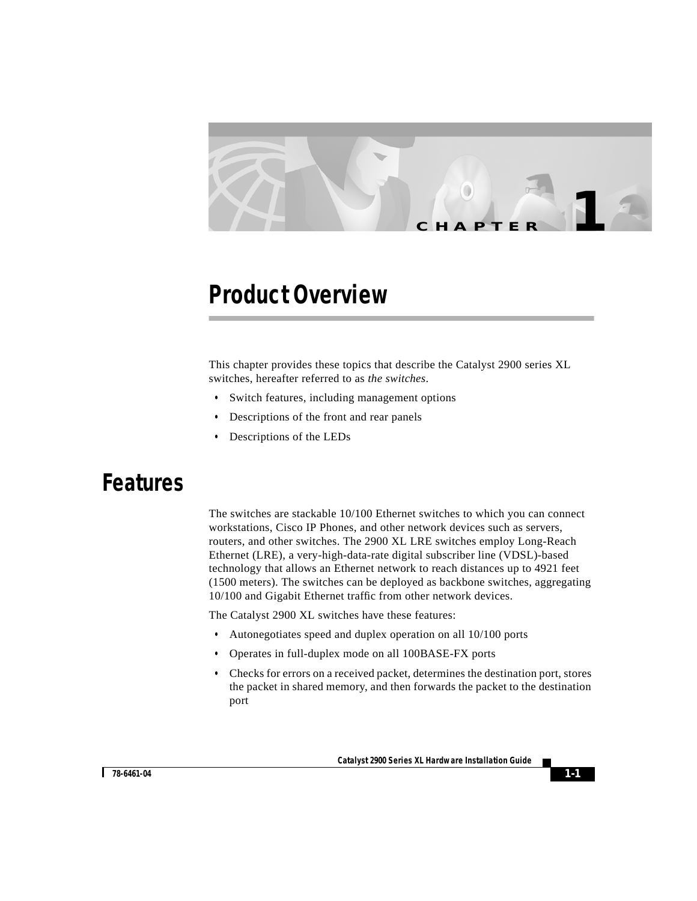

# **Product Overview**

This chapter provides these topics that describe the Catalyst 2900 series XL switches, hereafter referred to as *the switches*.

- **•** Switch features, including management options
- **•** Descriptions of the front and rear panels
- **•** Descriptions of the LEDs

# **Features**

The switches are stackable 10/100 Ethernet switches to which you can connect workstations, Cisco IP Phones, and other network devices such as servers, routers, and other switches. The 2900 XL LRE switches employ Long-Reach Ethernet (LRE), a very-high-data-rate digital subscriber line (VDSL)-based technology that allows an Ethernet network to reach distances up to 4921 feet (1500 meters). The switches can be deployed as backbone switches, aggregating 10/100 and Gigabit Ethernet traffic from other network devices.

The Catalyst 2900 XL switches have these features:

- **•** Autonegotiates speed and duplex operation on all 10/100 ports
- **•** Operates in full-duplex mode on all 100BASE-FX ports
- **•** Checks for errors on a received packet, determines the destination port, stores the packet in shared memory, and then forwards the packet to the destination port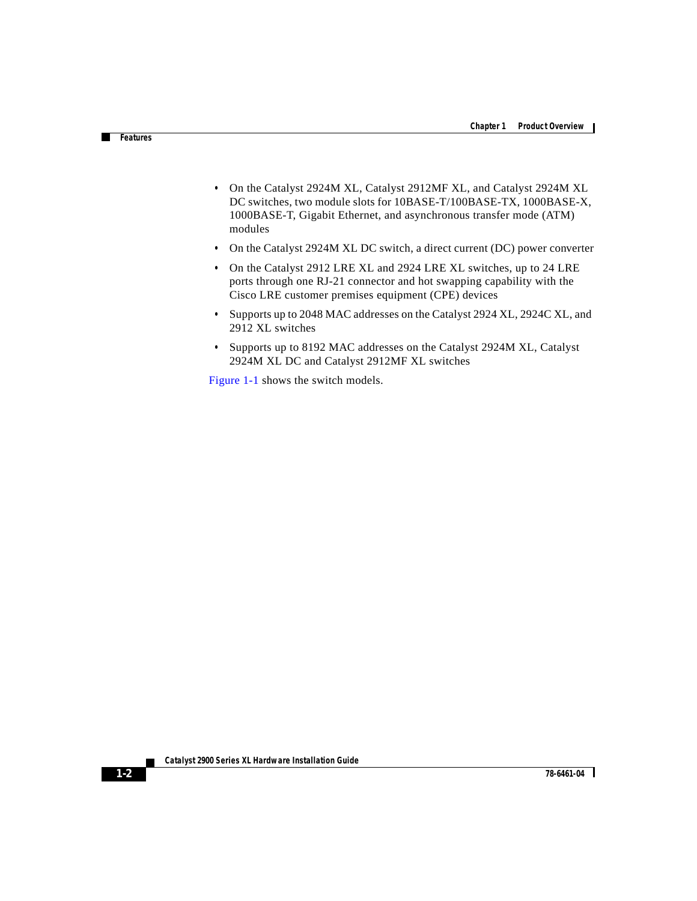- **•** On the Catalyst 2924M XL, Catalyst 2912MF XL, and Catalyst 2924M XL DC switches, two module slots for 10BASE-T/100BASE-TX, 1000BASE-X, 1000BASE-T, Gigabit Ethernet, and asynchronous transfer mode (ATM) modules
- **•** On the Catalyst 2924M XL DC switch, a direct current (DC) power converter
- **•** On the Catalyst 2912 LRE XL and 2924 LRE XL switches, up to 24 LRE ports through one RJ-21 connector and hot swapping capability with the Cisco LRE customer premises equipment (CPE) devices
- **•** Supports up to 2048 MAC addresses on the Catalyst 2924 XL, 2924C XL, and 2912 XL switches
- **•** Supports up to 8192 MAC addresses on the Catalyst 2924M XL, Catalyst 2924M XL DC and Catalyst 2912MF XL switches

[Figure 1-1](#page-2-0) shows the switch models.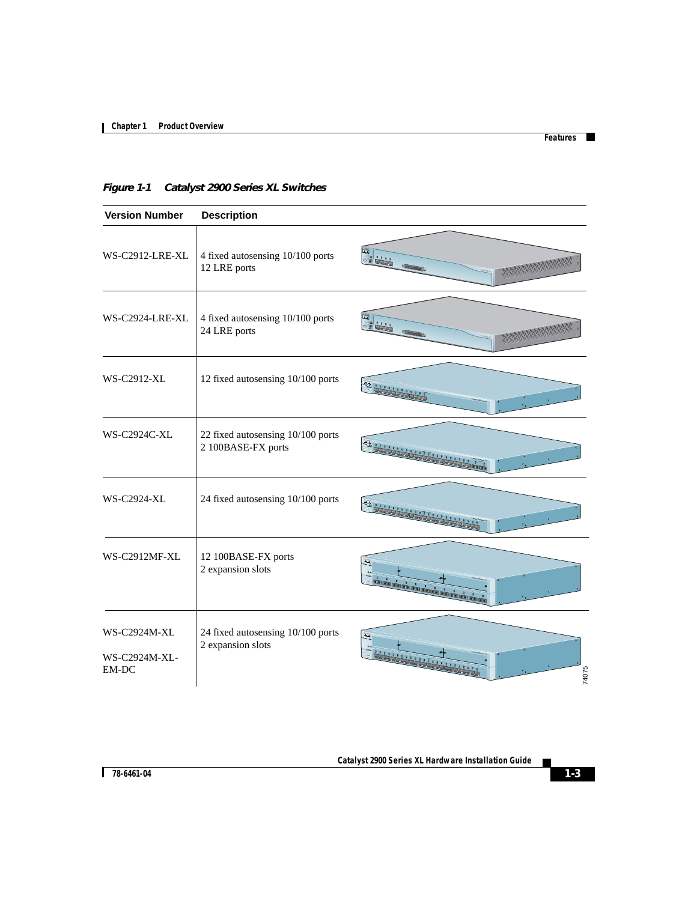П

Т

<span id="page-2-0"></span>*Figure 1-1 Catalyst 2900 Series XL Switches*

| <b>Version Number</b>                  | <b>Description</b>                                      |                                                 |
|----------------------------------------|---------------------------------------------------------|-------------------------------------------------|
| WS-C2912-LRE-XL                        | 4 fixed autosensing 10/100 ports<br>12 LRE ports        | 圖                                               |
| WS-C2924-LRE-XL                        | 4 fixed autosensing 10/100 ports<br>24 LRE ports        |                                                 |
| WS-C2912-XL                            | 12 fixed autosensing 10/100 ports                       |                                                 |
| <b>WS-C2924C-XL</b>                    | 22 fixed autosensing 10/100 ports<br>2 100BASE-FX ports |                                                 |
| <b>WS-C2924-XL</b>                     | 24 fixed autosensing 10/100 ports                       |                                                 |
| WS-C2912MF-XL                          | 12 100BASE-FX ports<br>2 expansion slots                | .<br>Elencora de colega<br><b>Del Colleg Co</b> |
| WS-C2924M-XL<br>WS-C2924M-XL-<br>EM-DC | 24 fixed autosensing 10/100 ports<br>2 expansion slots  | 74075                                           |

 $\mathbf{r}$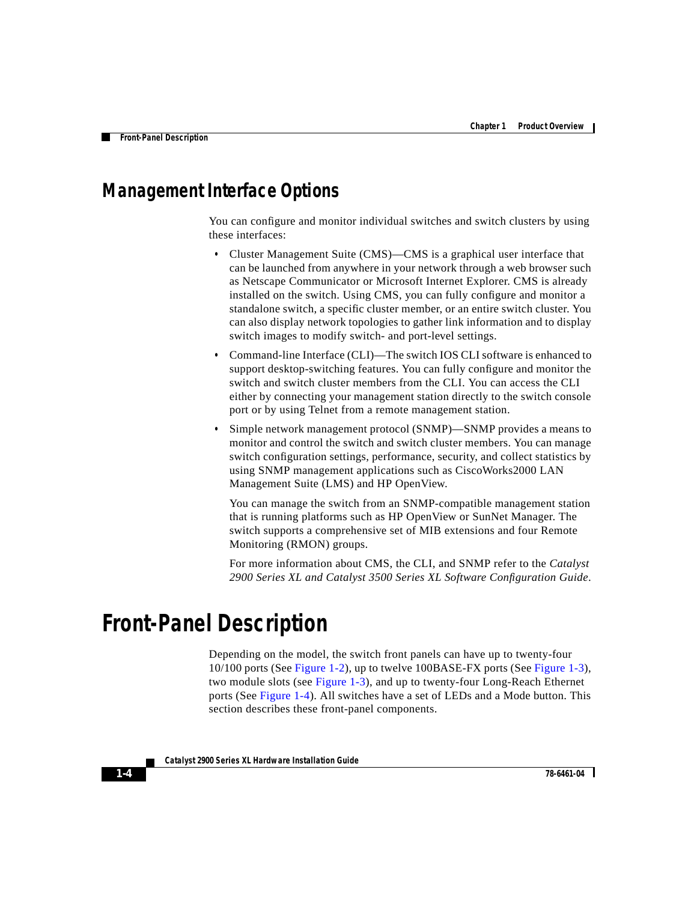# **Management Interface Options**

You can configure and monitor individual switches and switch clusters by using these interfaces:

- **•** Cluster Management Suite (CMS)—CMS is a graphical user interface that can be launched from anywhere in your network through a web browser such as Netscape Communicator or Microsoft Internet Explorer. CMS is already installed on the switch. Using CMS, you can fully configure and monitor a standalone switch, a specific cluster member, or an entire switch cluster. You can also display network topologies to gather link information and to display switch images to modify switch- and port-level settings.
- **•** Command-line Interface (CLI)—The switch IOS CLI software is enhanced to support desktop-switching features. You can fully configure and monitor the switch and switch cluster members from the CLI. You can access the CLI either by connecting your management station directly to the switch console port or by using Telnet from a remote management station.
- **•** Simple network management protocol (SNMP)—SNMP provides a means to monitor and control the switch and switch cluster members. You can manage switch configuration settings, performance, security, and collect statistics by using SNMP management applications such as CiscoWorks2000 LAN Management Suite (LMS) and HP OpenView.

You can manage the switch from an SNMP-compatible management station that is running platforms such as HP OpenView or SunNet Manager. The switch supports a comprehensive set of MIB extensions and four Remote Monitoring (RMON) groups.

For more information about CMS, the CLI, and SNMP refer to the *Catalyst 2900 Series XL and Catalyst 3500 Series XL Software Configuration Guide*.

# **Front-Panel Description**

Depending on the model, the switch front panels can have up to twenty-four 10/100 ports (See [Figure 1-2](#page-4-0)), up to twelve 100BASE-FX ports (See [Figure 1-3](#page-4-1)), two module slots (see [Figure 1-3](#page-4-1)), and up to twenty-four Long-Reach Ethernet ports (See [Figure 1-4](#page-4-2)). All switches have a set of LEDs and a Mode button. This section describes these front-panel components.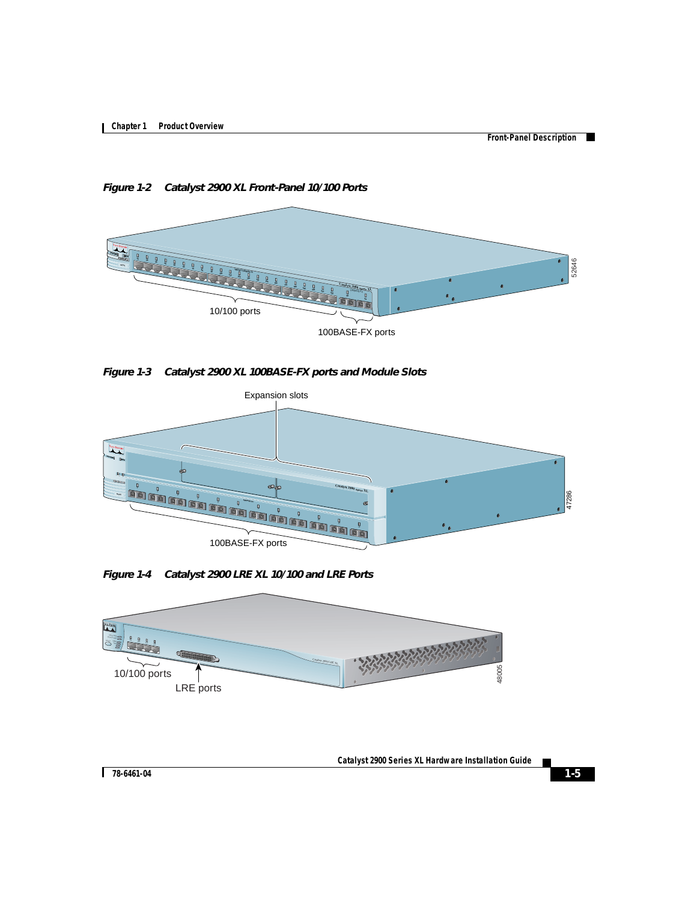**College** 

<span id="page-4-0"></span>*Figure 1-2 Catalyst 2900 XL Front-Panel 10/100 Ports*



<span id="page-4-1"></span>*Figure 1-3 Catalyst 2900 XL 100BASE-FX ports and Module Slots*



<span id="page-4-2"></span>*Figure 1-4 Catalyst 2900 LRE XL 10/100 and LRE Ports*

<span id="page-4-3"></span>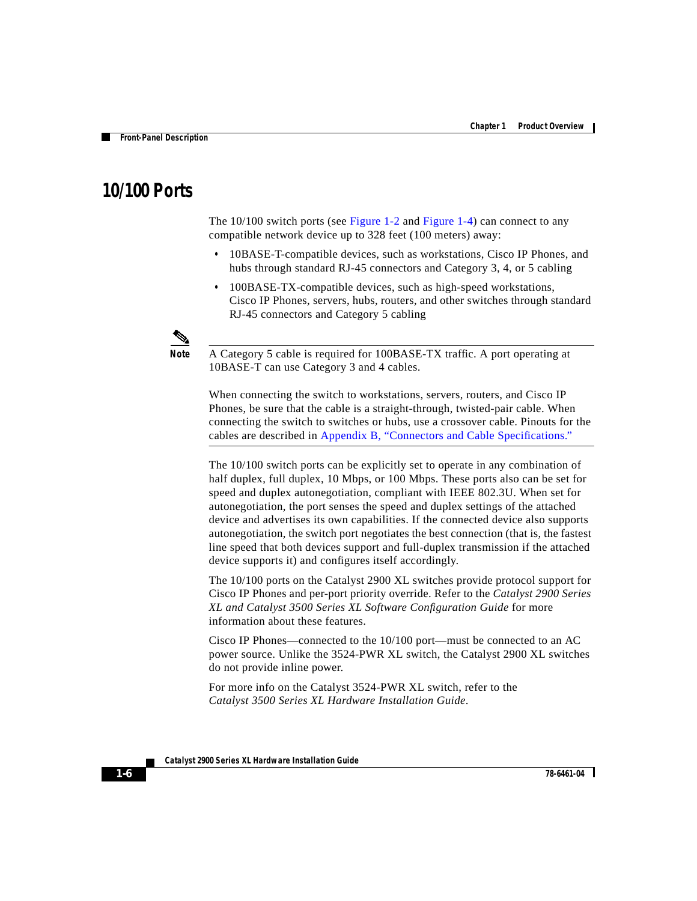## **10/100 Ports**

The 10/100 switch ports (see [Figure 1-2](#page-4-0) and [Figure 1-4\)](#page-4-2) can connect to any compatible network device up to 328 feet (100 meters) away:

- **•** 10BASE-T-compatible devices, such as workstations, Cisco IP Phones, and hubs through standard RJ-45 connectors and Category 3, 4, or 5 cabling
- **•** 100BASE-TX-compatible devices, such as high-speed workstations, Cisco IP Phones, servers, hubs, routers, and other switches through standard RJ-45 connectors and Category 5 cabling



**Note** A Category 5 cable is required for 100BASE-TX traffic. A port operating at 10BASE-T can use Category 3 and 4 cables.

When connecting the switch to workstations, servers, routers, and Cisco IP Phones, be sure that the cable is a straight-through, twisted-pair cable. When connecting the switch to switches or hubs, use a crossover cable. Pinouts for the cables are described in Appendix B, "Connectors and Cable Specifications."

The 10/100 switch ports can be explicitly set to operate in any combination of half duplex, full duplex, 10 Mbps, or 100 Mbps. These ports also can be set for speed and duplex autonegotiation, compliant with IEEE 802.3U. When set for autonegotiation, the port senses the speed and duplex settings of the attached device and advertises its own capabilities. If the connected device also supports autonegotiation, the switch port negotiates the best connection (that is, the fastest line speed that both devices support and full-duplex transmission if the attached device supports it) and configures itself accordingly.

The 10/100 ports on the Catalyst 2900 XL switches provide protocol support for Cisco IP Phones and per-port priority override. Refer to the *Catalyst 2900 Series XL and Catalyst 3500 Series XL Software Configuration Guide* for more information about these features.

Cisco IP Phones—connected to the 10/100 port—must be connected to an AC power source. Unlike the 3524-PWR XL switch, the Catalyst 2900 XL switches do not provide inline power.

For more info on the Catalyst 3524-PWR XL switch, refer to the *Catalyst 3500 Series XL Hardware Installation Guide*.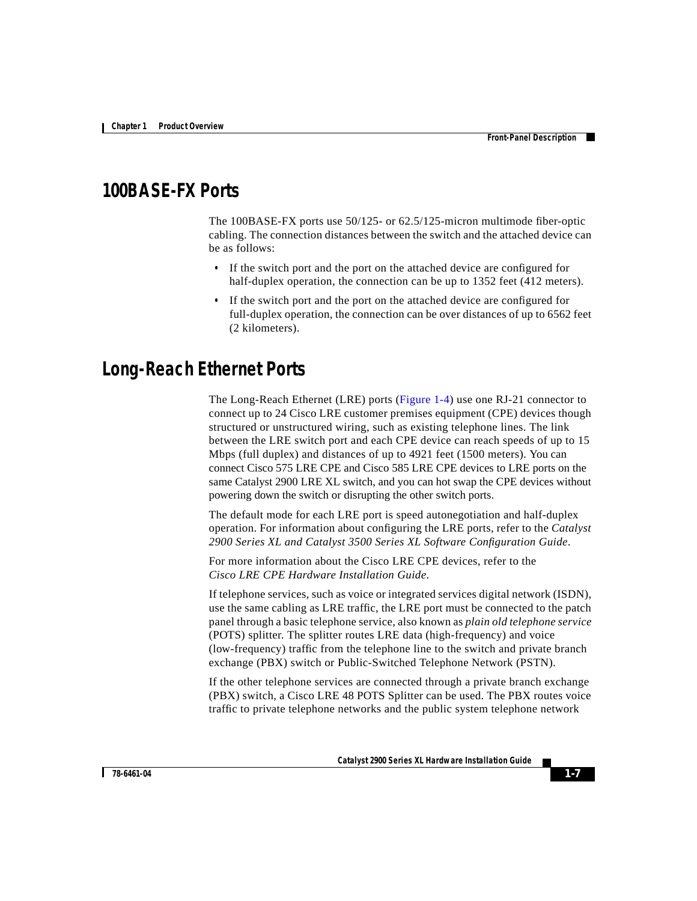# **100BASE-FX Ports**

The 100BASE-FX ports use 50/125- or 62.5/125-micron multimode fiber-optic cabling. The connection distances between the switch and the attached device can be as follows:

- **•** If the switch port and the port on the attached device are configured for half-duplex operation, the connection can be up to 1352 feet (412 meters).
- **•** If the switch port and the port on the attached device are configured for full-duplex operation, the connection can be over distances of up to 6562 feet (2 kilometers).

## **Long-Reach Ethernet Ports**

The Long-Reach Ethernet (LRE) ports [\(Figure 1-4](#page-4-3)) use one RJ-21 connector to connect up to 24 Cisco LRE customer premises equipment (CPE) devices though structured or unstructured wiring, such as existing telephone lines. The link between the LRE switch port and each CPE device can reach speeds of up to 15 Mbps (full duplex) and distances of up to 4921 feet (1500 meters). You can connect Cisco 575 LRE CPE and Cisco 585 LRE CPE devices to LRE ports on the same Catalyst 2900 LRE XL switch, and you can hot swap the CPE devices without powering down the switch or disrupting the other switch ports.

The default mode for each LRE port is speed autonegotiation and half-duplex operation. For information about configuring the LRE ports, refer to the *Catalyst 2900 Series XL and Catalyst 3500 Series XL Software Configuration Guide*.

For more information about the Cisco LRE CPE devices, refer to the *Cisco LRE CPE Hardware Installation Guide*.

If telephone services, such as voice or integrated services digital network (ISDN), use the same cabling as LRE traffic, the LRE port must be connected to the patch panel through a basic telephone service, also known as *plain old telephone service* (POTS) splitter. The splitter routes LRE data (high-frequency) and voice (low-frequency) traffic from the telephone line to the switch and private branch exchange (PBX) switch or Public-Switched Telephone Network (PSTN).

If the other telephone services are connected through a private branch exchange (PBX) switch, a Cisco LRE 48 POTS Splitter can be used. The PBX routes voice traffic to private telephone networks and the public system telephone network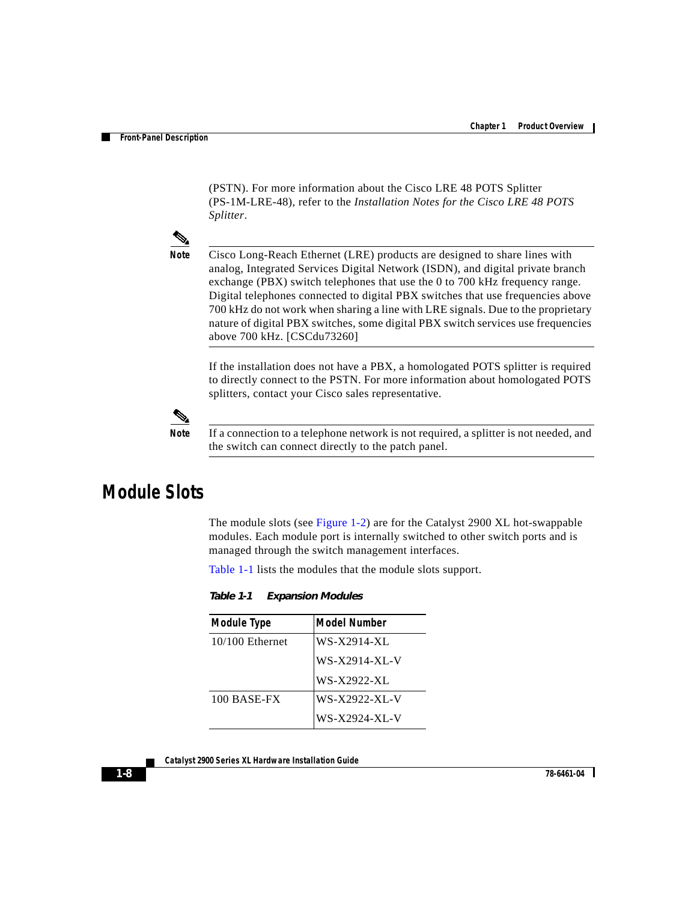(PSTN). For more information about the Cisco LRE 48 POTS Splitter (PS-1M-LRE-48), refer to the *Installation Notes for the Cisco LRE 48 POTS Splitter*.



**Note** Cisco Long-Reach Ethernet (LRE) products are designed to share lines with analog, Integrated Services Digital Network (ISDN), and digital private branch exchange (PBX) switch telephones that use the 0 to 700 kHz frequency range. Digital telephones connected to digital PBX switches that use frequencies above 700 kHz do not work when sharing a line with LRE signals. Due to the proprietary nature of digital PBX switches, some digital PBX switch services use frequencies above 700 kHz. [CSCdu73260]

If the installation does not have a PBX, a homologated POTS splitter is required to directly connect to the PSTN. For more information about homologated POTS splitters, contact your Cisco sales representative.



**Note** If a connection to a telephone network is not required, a splitter is not needed, and the switch can connect directly to the patch panel.

# <span id="page-7-0"></span>**Module Slots**

The module slots (see [Figure 1-2\)](#page-4-0) are for the Catalyst 2900 XL hot-swappable modules. Each module port is internally switched to other switch ports and is managed through the switch management interfaces.

[Table 1-1](#page-7-0) lists the modules that the module slots support.

| <b>Module Type</b> | <b>Model Number</b> |
|--------------------|---------------------|
| $10/100$ Ethernet  | WS-X2914-XL         |
|                    | WS-X2914-XL-V       |
|                    | WS-X2922-XL         |
| 100 BASE-FX        | WS-X2922-XL-V       |
|                    | WS-X2924-XL-V       |

*Table 1-1 Expansion Modules*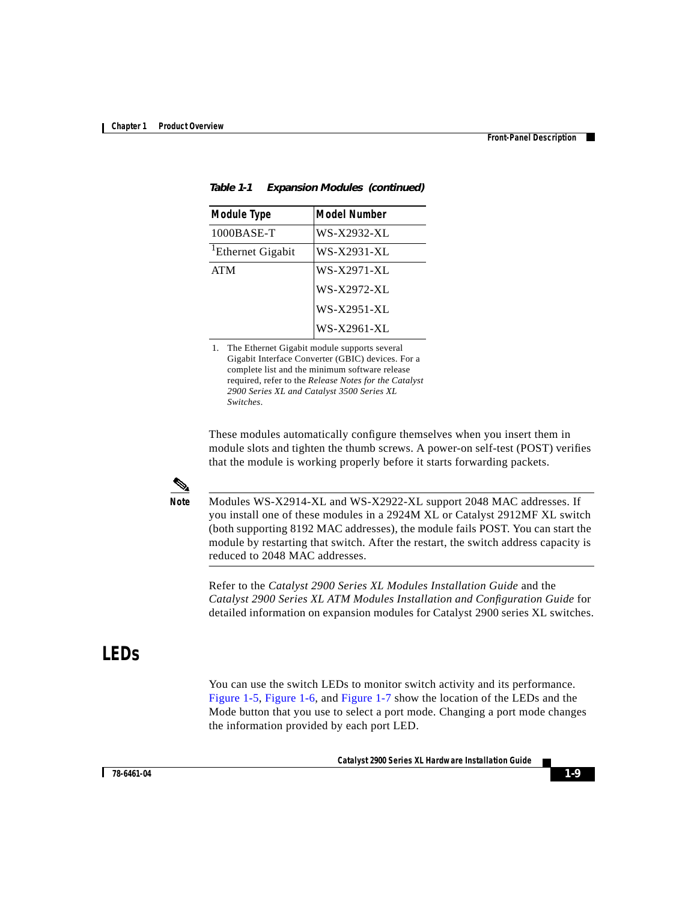| <b>Module Type</b>            | <b>Model Number</b> |
|-------------------------------|---------------------|
| $1000$ BASE-T                 | WS-X2932-XL         |
| <sup>1</sup> Ethernet Gigabit | WS-X2931-XL         |
| <b>ATM</b>                    | WS-X2971-XL         |
|                               | WS-X2972-XL         |
|                               | WS-X2951-XL         |
|                               | WS-X2961-XL         |

| Table 1-1 | <b>Expansion Modules (continued)</b> |  |
|-----------|--------------------------------------|--|
|-----------|--------------------------------------|--|

1. The Ethernet Gigabit module supports several Gigabit Interface Converter (GBIC) devices. For a complete list and the minimum software release required, refer to the *Release Notes for the Catalyst 2900 Series XL and Catalyst 3500 Series XL Switches*.

These modules automatically configure themselves when you insert them in module slots and tighten the thumb screws. A power-on self-test (POST) verifies that the module is working properly before it starts forwarding packets.



**Note** Modules WS-X2914-XL and WS-X2922-XL support 2048 MAC addresses. If you install one of these modules in a 2924M XL or Catalyst 2912MF XL switch (both supporting 8192 MAC addresses), the module fails POST. You can start the module by restarting that switch. After the restart, the switch address capacity is reduced to 2048 MAC addresses.

Refer to the *Catalyst 2900 Series XL Modules Installation Guide* and the *Catalyst 2900 Series XL ATM Modules Installation and Configuration Guide* for detailed information on expansion modules for Catalyst 2900 series XL switches.

# **LEDs**

You can use the switch LEDs to monitor switch activity and its performance. [Figure 1-5,](#page-9-0) [Figure 1-6,](#page-10-0) and [Figure 1-7](#page-11-0) show the location of the LEDs and the Mode button that you use to select a port mode. Changing a port mode changes the information provided by each port LED.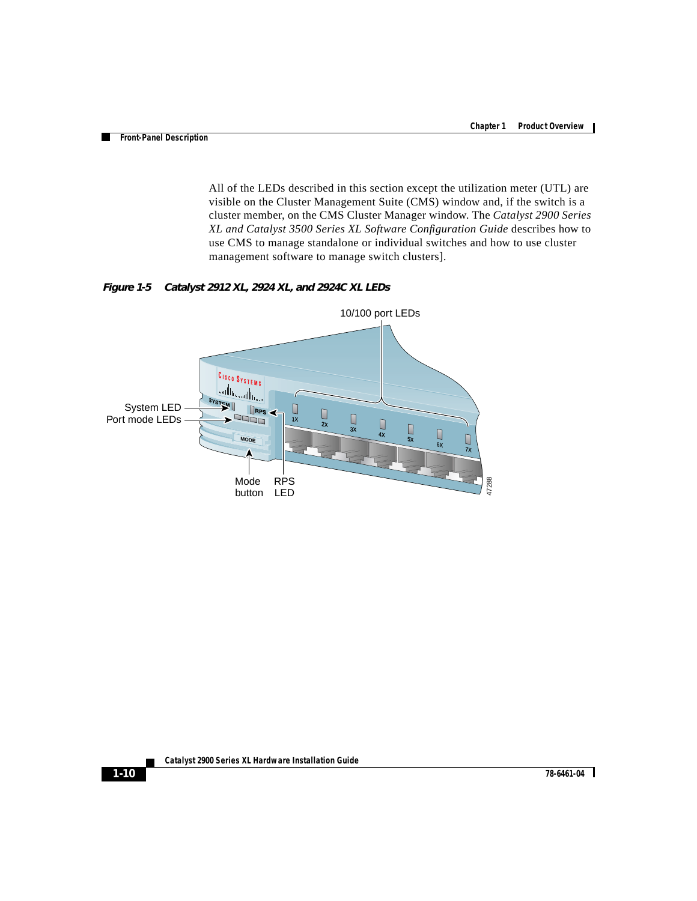All of the LEDs described in this section except the utilization meter (UTL) are visible on the Cluster Management Suite (CMS) window and, if the switch is a cluster member, on the CMS Cluster Manager window. The *Catalyst 2900 Series XL and Catalyst 3500 Series XL Software Configuration Guide* describes how to use CMS to manage standalone or individual switches and how to use cluster management software to manage switch clusters].

<span id="page-9-0"></span>*Figure 1-5 Catalyst 2912 XL, 2924 XL, and 2924C XL LEDs*

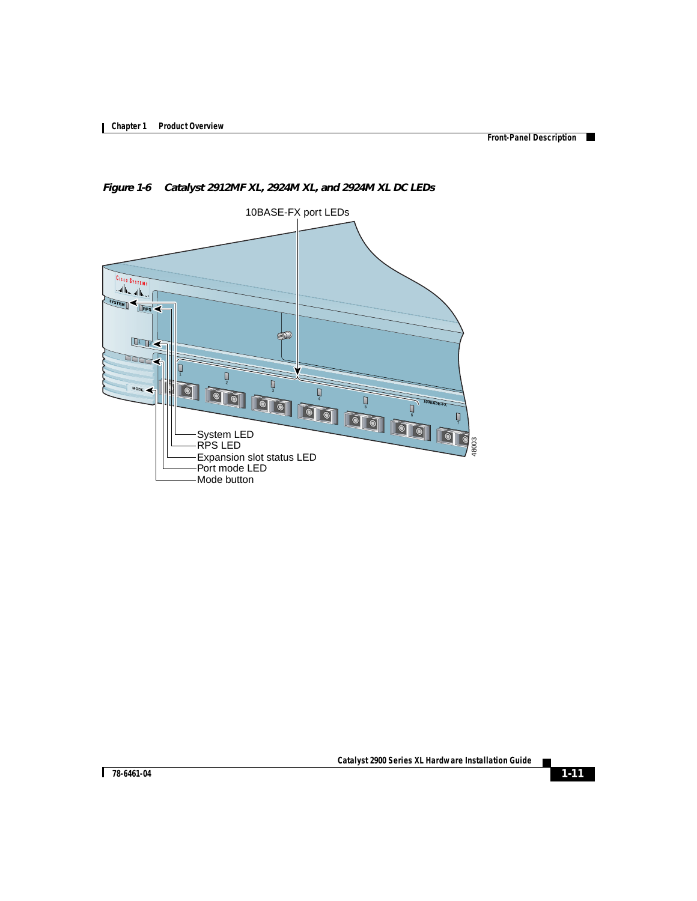**College** 

<span id="page-10-1"></span>

<span id="page-10-0"></span>*Figure 1-6 Catalyst 2912MF XL, 2924M XL, and 2924M XL DC LEDs*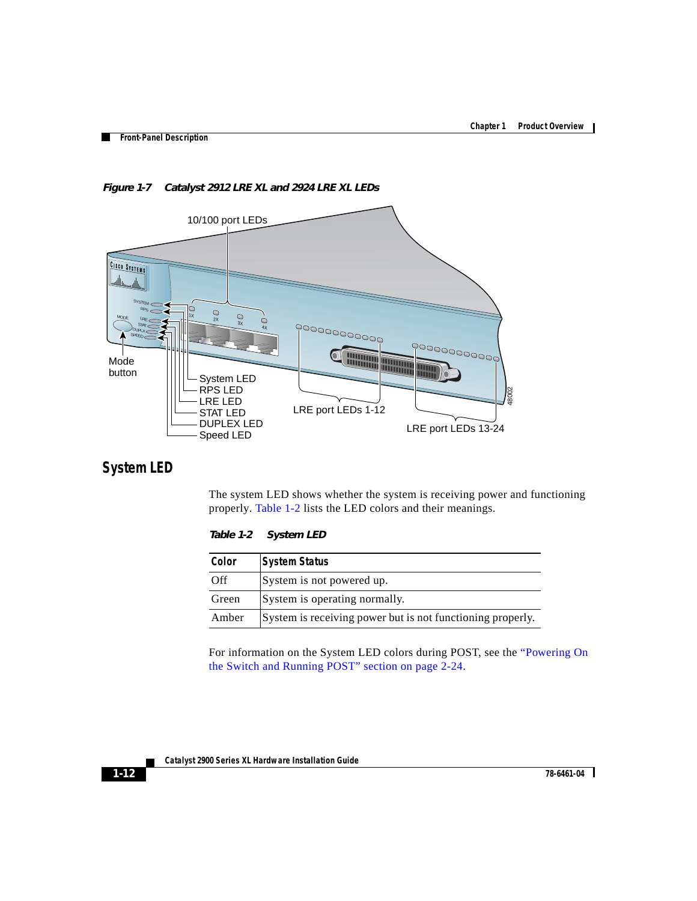

<span id="page-11-0"></span>*Figure 1-7 Catalyst 2912 LRE XL and 2924 LRE XL LEDs*

### <span id="page-11-1"></span>**System LED**

The system LED shows whether the system is receiving power and functioning properly. [Table 1-2](#page-11-1) lists the LED colors and their meanings.

*Table 1-2 System LED*

| Color | <b>System Status</b>                                       |
|-------|------------------------------------------------------------|
| Off   | System is not powered up.                                  |
| Green | System is operating normally.                              |
| Amber | System is receiving power but is not functioning properly. |

For information on the System LED colors during POST, see the "Powering On the Switch and Running POST" section on page 2-24.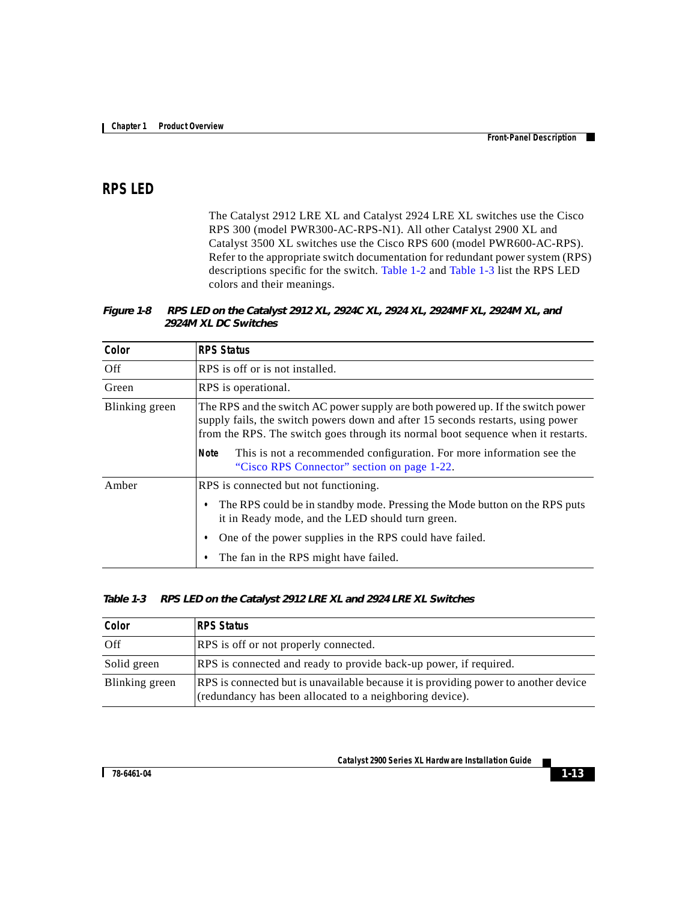### **RPS LED**

The Catalyst 2912 LRE XL and Catalyst 2924 LRE XL switches use the Cisco RPS 300 (model PWR300-AC-RPS-N1). All other Catalyst 2900 XL and Catalyst 3500 XL switches use the Cisco RPS 600 (model PWR600-AC-RPS). Refer to the appropriate switch documentation for redundant power system (RPS) descriptions specific for the switch. [Table 1-2](#page-12-0) and [Table 1-3](#page-12-1) list the RPS LED colors and their meanings.

<span id="page-12-0"></span>*Figure 1-8 RPS LED on the Catalyst 2912 XL, 2924C XL, 2924 XL, 2924MF XL, 2924M XL, and 2924M XL DC Switches*

| Color          | <b>RPS Status</b>                                                                                                                                                                                                                                      |  |  |
|----------------|--------------------------------------------------------------------------------------------------------------------------------------------------------------------------------------------------------------------------------------------------------|--|--|
| Off            | RPS is off or is not installed.                                                                                                                                                                                                                        |  |  |
| Green          | RPS is operational.                                                                                                                                                                                                                                    |  |  |
| Blinking green | The RPS and the switch AC power supply are both powered up. If the switch power<br>supply fails, the switch powers down and after 15 seconds restarts, using power<br>from the RPS. The switch goes through its normal boot sequence when it restarts. |  |  |
|                | This is not a recommended configuration. For more information see the<br>Note<br>"Cisco RPS Connector" section on page 1-22.                                                                                                                           |  |  |
| Amber          | RPS is connected but not functioning.                                                                                                                                                                                                                  |  |  |
|                | The RPS could be in standby mode. Pressing the Mode button on the RPS puts<br>$\bullet$<br>it in Ready mode, and the LED should turn green.                                                                                                            |  |  |
|                | One of the power supplies in the RPS could have failed.                                                                                                                                                                                                |  |  |
|                | The fan in the RPS might have failed.                                                                                                                                                                                                                  |  |  |

#### <span id="page-12-1"></span>*Table 1-3 RPS LED on the Catalyst 2912 LRE XL and 2924 LRE XL Switches*

| Color          | RPS Status                                                                                                                                      |
|----------------|-------------------------------------------------------------------------------------------------------------------------------------------------|
| Off            | <b>RPS</b> is off or not properly connected.                                                                                                    |
| Solid green    | RPS is connected and ready to provide back-up power, if required.                                                                               |
| Blinking green | RPS is connected but is unavailable because it is providing power to another device<br>(redundancy has been allocated to a neighboring device). |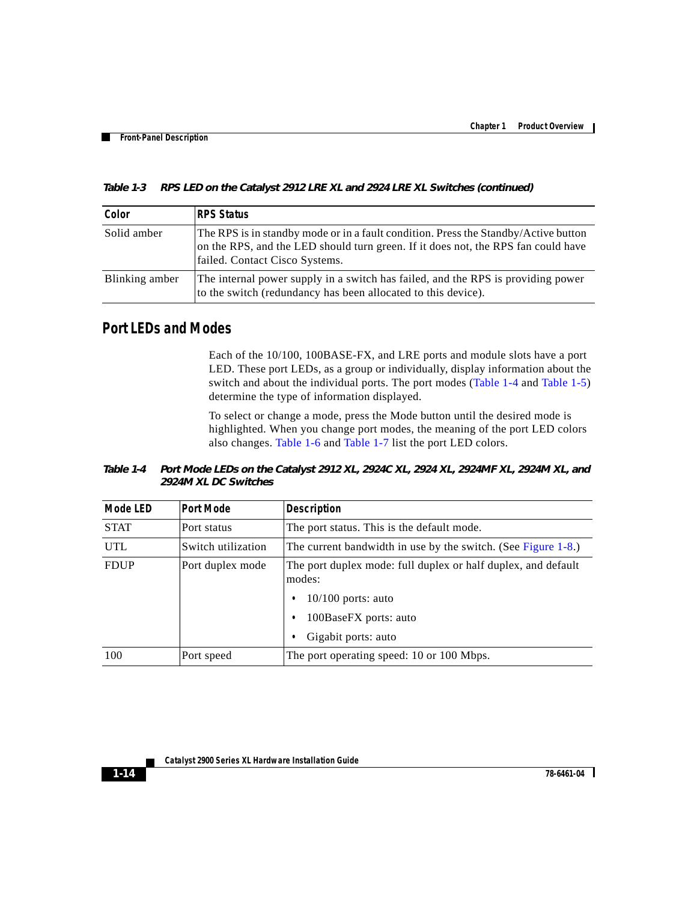| Color          | RPS Status                                                                                                                                                                                                 |
|----------------|------------------------------------------------------------------------------------------------------------------------------------------------------------------------------------------------------------|
| Solid amber    | The RPS is in standby mode or in a fault condition. Press the Standby/Active button<br>on the RPS, and the LED should turn green. If it does not, the RPS fan could have<br>failed. Contact Cisco Systems. |
| Blinking amber | The internal power supply in a switch has failed, and the RPS is providing power<br>to the switch (redundancy has been allocated to this device).                                                          |

*Table 1-3 RPS LED on the Catalyst 2912 LRE XL and 2924 LRE XL Switches (continued)*

### **Port LEDs and Modes**

Each of the 10/100, 100BASE-FX, and LRE ports and module slots have a port LED. These port LEDs, as a group or individually, display information about the switch and about the individual ports. The port modes ([Table 1-4](#page-13-0) and [Table 1-5\)](#page-14-0) determine the type of information displayed.

To select or change a mode, press the Mode button until the desired mode is highlighted. When you change port modes, the meaning of the port LED colors also changes. [Table 1-6](#page-15-0) and [Table 1-7](#page-16-0) list the port LED colors.

<span id="page-13-0"></span>*Table 1-4 Port Mode LEDs on the Catalyst 2912 XL, 2924C XL, 2924 XL, 2924MF XL, 2924M XL, and 2924M XL DC Switches*

| <b>Mode LED</b> | <b>Port Mode</b>   | <b>Description</b>                                                      |
|-----------------|--------------------|-------------------------------------------------------------------------|
| <b>STAT</b>     | Port status        | The port status. This is the default mode.                              |
| <b>UTL</b>      | Switch utilization | The current bandwidth in use by the switch. (See Figure $1-8$ .)        |
| <b>FDUP</b>     | Port duplex mode   | The port duplex mode: full duplex or half duplex, and default<br>modes: |
|                 |                    | $10/100$ ports: auto<br>٠                                               |
|                 |                    | 100BaseFX ports: auto<br>٠                                              |
|                 |                    | Gigabit ports: auto<br>٠                                                |
| 100             | Port speed         | The port operating speed: 10 or 100 Mbps.                               |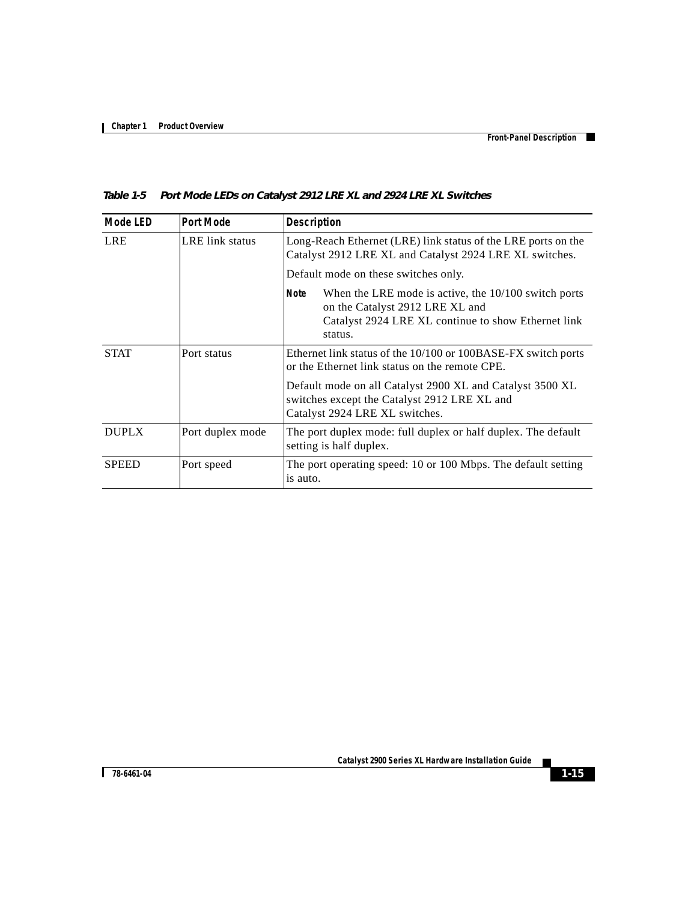Г

| <b>Mode LED</b> | <b>Port Mode</b> | <b>Description</b>                                                                                                                                                  |  |
|-----------------|------------------|---------------------------------------------------------------------------------------------------------------------------------------------------------------------|--|
| <b>LRE</b>      | LRE link status  | Long-Reach Ethernet (LRE) link status of the LRE ports on the<br>Catalyst 2912 LRE XL and Catalyst 2924 LRE XL switches.                                            |  |
|                 |                  | Default mode on these switches only.                                                                                                                                |  |
|                 |                  | When the LRE mode is active, the $10/100$ switch ports<br>Note<br>on the Catalyst 2912 LRE XL and<br>Catalyst 2924 LRE XL continue to show Ethernet link<br>status. |  |
| <b>STAT</b>     | Port status      | Ethernet link status of the 10/100 or 100BASE-FX switch ports<br>or the Ethernet link status on the remote CPE.                                                     |  |
|                 |                  | Default mode on all Catalyst 2900 XL and Catalyst 3500 XL<br>switches except the Catalyst 2912 LRE XL and<br>Catalyst 2924 LRE XL switches.                         |  |
| <b>DUPLX</b>    | Port duplex mode | The port duplex mode: full duplex or half duplex. The default<br>setting is half duplex.                                                                            |  |
| <b>SPEED</b>    | Port speed       | The port operating speed: 10 or 100 Mbps. The default setting<br>is auto.                                                                                           |  |

#### <span id="page-14-0"></span>*Table 1-5 Port Mode LEDs on Catalyst 2912 LRE XL and 2924 LRE XL Switches*

T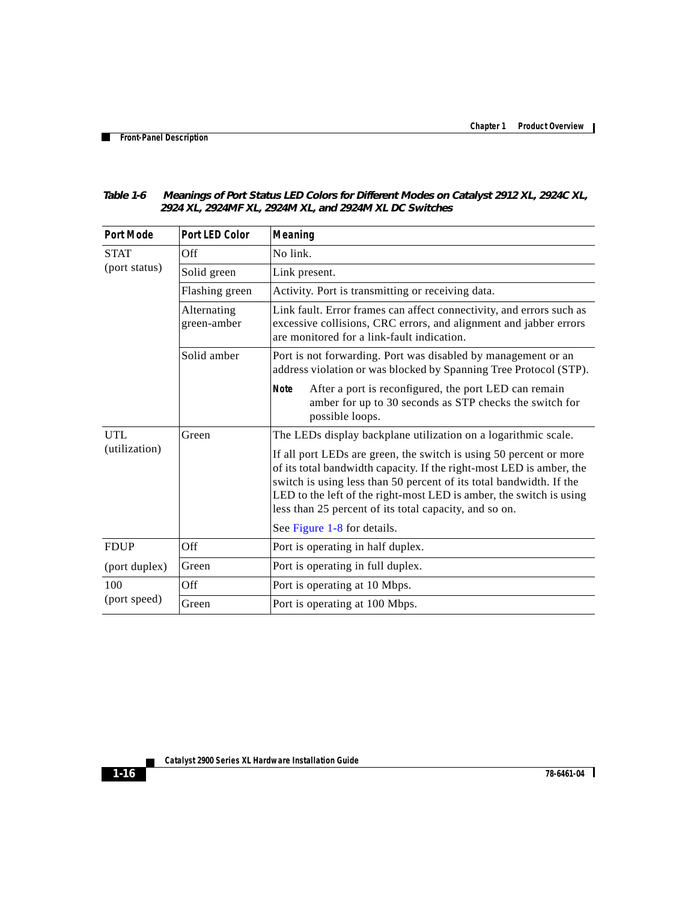| 2727 AL, 2727IM AL, 2727IM AL, 0110 2727IM AL DO 9 |                            |                                                                                                                                                                                                                                                                                                                                                    |  |
|----------------------------------------------------|----------------------------|----------------------------------------------------------------------------------------------------------------------------------------------------------------------------------------------------------------------------------------------------------------------------------------------------------------------------------------------------|--|
| <b>Port Mode</b>                                   | <b>Port LED Color</b>      | Meaning                                                                                                                                                                                                                                                                                                                                            |  |
| <b>STAT</b><br>(port status)                       | Off                        | No link.                                                                                                                                                                                                                                                                                                                                           |  |
|                                                    | Solid green                | Link present.                                                                                                                                                                                                                                                                                                                                      |  |
|                                                    | Flashing green             | Activity. Port is transmitting or receiving data.                                                                                                                                                                                                                                                                                                  |  |
|                                                    | Alternating<br>green-amber | Link fault. Error frames can affect connectivity, and errors such as<br>excessive collisions, CRC errors, and alignment and jabber errors<br>are monitored for a link-fault indication.                                                                                                                                                            |  |
|                                                    | Solid amber                | Port is not forwarding. Port was disabled by management or an<br>address violation or was blocked by Spanning Tree Protocol (STP).                                                                                                                                                                                                                 |  |
|                                                    |                            | After a port is reconfigured, the port LED can remain<br><b>Note</b><br>amber for up to 30 seconds as STP checks the switch for<br>possible loops.                                                                                                                                                                                                 |  |
| <b>UTL</b>                                         | Green                      | The LEDs display backplane utilization on a logarithmic scale.                                                                                                                                                                                                                                                                                     |  |
| (utilization)                                      |                            | If all port LEDs are green, the switch is using 50 percent or more<br>of its total bandwidth capacity. If the right-most LED is amber, the<br>switch is using less than 50 percent of its total bandwidth. If the<br>LED to the left of the right-most LED is amber, the switch is using<br>less than 25 percent of its total capacity, and so on. |  |
|                                                    |                            | See Figure 1-8 for details.                                                                                                                                                                                                                                                                                                                        |  |
| <b>FDUP</b>                                        | Off.                       | Port is operating in half duplex.                                                                                                                                                                                                                                                                                                                  |  |
| (port duplex)                                      | Green                      | Port is operating in full duplex.                                                                                                                                                                                                                                                                                                                  |  |
| 100                                                | Off                        | Port is operating at 10 Mbps.                                                                                                                                                                                                                                                                                                                      |  |
| (port speed)                                       | Green                      | Port is operating at 100 Mbps.                                                                                                                                                                                                                                                                                                                     |  |

#### <span id="page-15-0"></span>*Table 1-6 Meanings of Port Status LED Colors for Different Modes on Catalyst 2912 XL, 2924C XL, 2924 XL, 2924MF XL, 2924M XL, and 2924M XL DC Switches*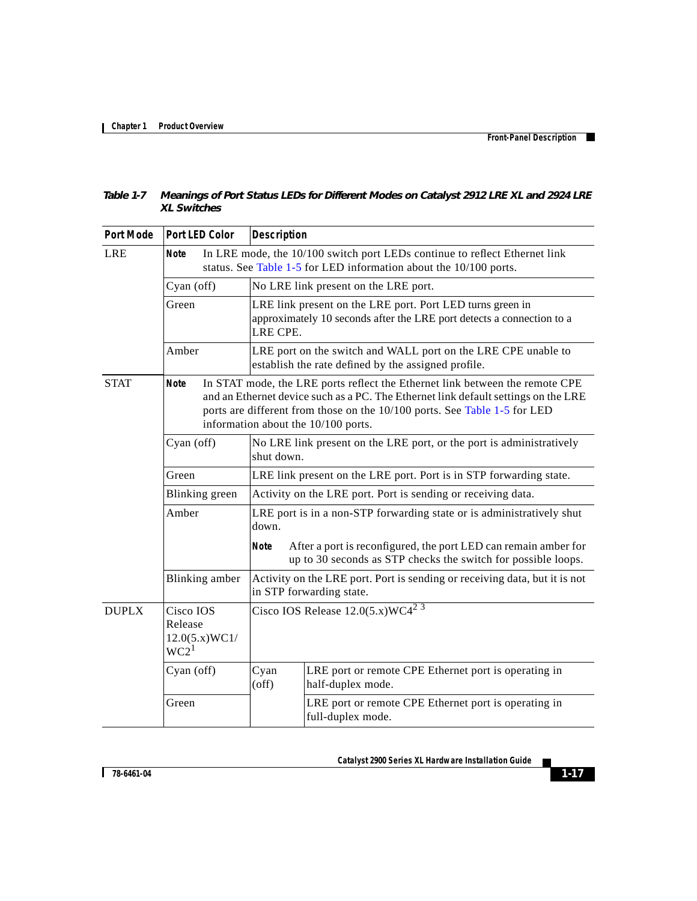Г

<span id="page-16-0"></span>

| Table 1-7 Meanings of Port Status LEDs for Different Modes on Catalyst 2912 LRE XL and 2924 LRE |
|-------------------------------------------------------------------------------------------------|
| <b>XL Switches</b>                                                                              |

| <b>Port Mode</b> | <b>Port LED Color</b>                                                                                                                                                                                                                                                                                 | <b>Description</b>                                                                                                                              |  |  |  |
|------------------|-------------------------------------------------------------------------------------------------------------------------------------------------------------------------------------------------------------------------------------------------------------------------------------------------------|-------------------------------------------------------------------------------------------------------------------------------------------------|--|--|--|
| <b>LRE</b>       | In LRE mode, the 10/100 switch port LEDs continue to reflect Ethernet link<br><b>Note</b><br>status. See Table 1-5 for LED information about the 10/100 ports.                                                                                                                                        |                                                                                                                                                 |  |  |  |
|                  | Cyan (off)                                                                                                                                                                                                                                                                                            | No LRE link present on the LRE port.                                                                                                            |  |  |  |
|                  | Green                                                                                                                                                                                                                                                                                                 | LRE link present on the LRE port. Port LED turns green in<br>approximately 10 seconds after the LRE port detects a connection to a<br>LRE CPE.  |  |  |  |
|                  | Amber                                                                                                                                                                                                                                                                                                 | LRE port on the switch and WALL port on the LRE CPE unable to<br>establish the rate defined by the assigned profile.                            |  |  |  |
| <b>STAT</b>      | In STAT mode, the LRE ports reflect the Ethernet link between the remote CPE<br><b>Note</b><br>and an Ethernet device such as a PC. The Ethernet link default settings on the LRE<br>ports are different from those on the 10/100 ports. See Table 1-5 for LED<br>information about the 10/100 ports. |                                                                                                                                                 |  |  |  |
|                  | Cyan (off)                                                                                                                                                                                                                                                                                            | No LRE link present on the LRE port, or the port is administratively<br>shut down.                                                              |  |  |  |
|                  | Green                                                                                                                                                                                                                                                                                                 | LRE link present on the LRE port. Port is in STP forwarding state.                                                                              |  |  |  |
|                  | Blinking green                                                                                                                                                                                                                                                                                        | Activity on the LRE port. Port is sending or receiving data.                                                                                    |  |  |  |
|                  | Amber                                                                                                                                                                                                                                                                                                 | LRE port is in a non-STP forwarding state or is administratively shut<br>down.                                                                  |  |  |  |
|                  |                                                                                                                                                                                                                                                                                                       | <b>Note</b><br>After a port is reconfigured, the port LED can remain amber for<br>up to 30 seconds as STP checks the switch for possible loops. |  |  |  |
|                  | <b>Blinking</b> amber                                                                                                                                                                                                                                                                                 | Activity on the LRE port. Port is sending or receiving data, but it is not<br>in STP forwarding state.                                          |  |  |  |
| <b>DUPLX</b>     | Cisco IOS<br>Release<br>12.0(5.x)WC1/<br>WC2 <sup>1</sup>                                                                                                                                                                                                                                             | Cisco IOS Release $12.0(5.x)$ WC4 <sup>2 3</sup>                                                                                                |  |  |  |
|                  | Cyan (off)                                                                                                                                                                                                                                                                                            | LRE port or remote CPE Ethernet port is operating in<br>Cyan<br>half-duplex mode.<br>$($ off $)$                                                |  |  |  |
|                  | Green                                                                                                                                                                                                                                                                                                 | LRE port or remote CPE Ethernet port is operating in<br>full-duplex mode.                                                                       |  |  |  |

 $\overline{\phantom{a}}$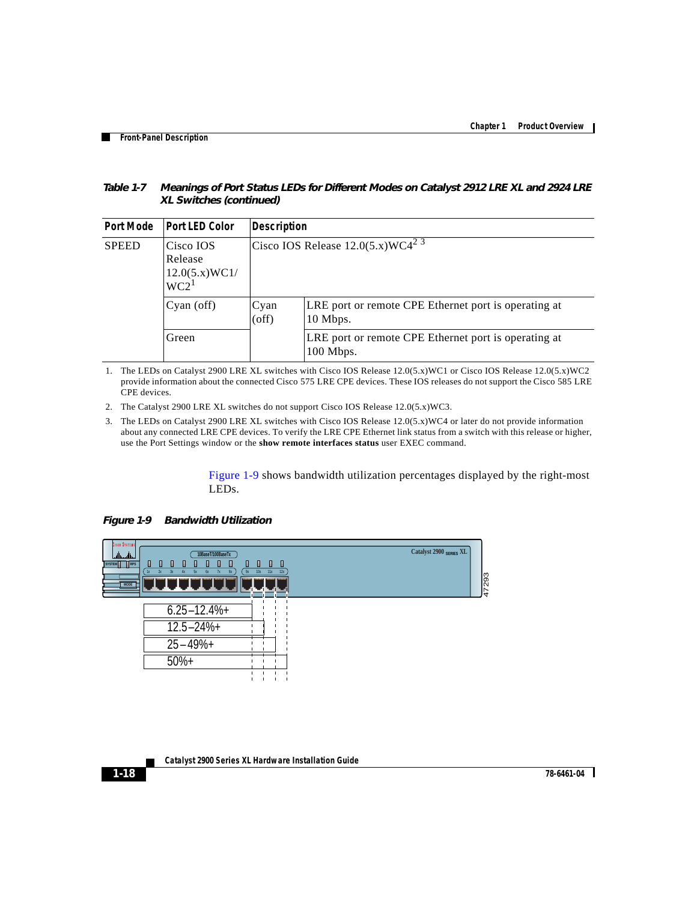| Table 1-7 | Meanings of Port Status LEDs for Different Modes on Catalyst 2912 LRE XL and 2924 LRE |
|-----------|---------------------------------------------------------------------------------------|
|           | XL Switches (continued)                                                               |

| <b>Port Mode</b> | <b>Port LED Color</b>                                     | <b>Description</b> |                                                                   |  |
|------------------|-----------------------------------------------------------|--------------------|-------------------------------------------------------------------|--|
| <b>SPEED</b>     | Cisco IOS<br>Release<br>12.0(5.x)WC1/<br>WC2 <sup>1</sup> |                    | Cisco IOS Release $12.0(5.x) \text{WC}4^2$ <sup>3</sup>           |  |
|                  | Cyan(off)                                                 | Cyan<br>(off)      | LRE port or remote CPE Ethernet port is operating at<br>10 Mbps.  |  |
|                  | Green                                                     |                    | LRE port or remote CPE Ethernet port is operating at<br>100 Mbps. |  |

<span id="page-17-1"></span>1. The LEDs on Catalyst 2900 LRE XL switches with Cisco IOS Release 12.0(5.x)WC1 or Cisco IOS Release 12.0(5.x)WC2 provide information about the connected Cisco 575 LRE CPE devices. These IOS releases do not support the Cisco 585 LRE CPE devices.

- <span id="page-17-2"></span>2. The Catalyst 2900 LRE XL switches do not support Cisco IOS Release 12.0(5.x)WC3.
- <span id="page-17-3"></span>3. The LEDs on Catalyst 2900 LRE XL switches with Cisco IOS Release 12.0(5.x)WC4 or later do not provide information about any connected LRE CPE devices. To verify the LRE CPE Ethernet link status from a switch with this release or higher, use the Port Settings window or the **show remote interfaces status** user EXEC command.

<span id="page-17-0"></span>[Figure 1-9](#page-17-4) shows bandwidth utilization percentages displayed by the right-most LEDs.

<span id="page-17-4"></span>

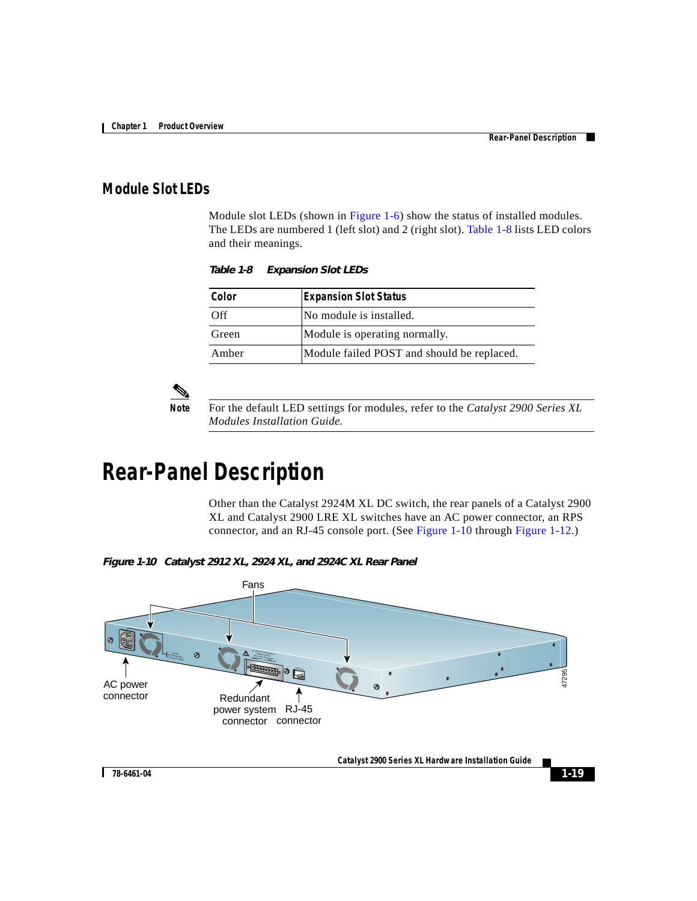### <span id="page-18-0"></span>**Module Slot LEDs**

Module slot LEDs (shown in [Figure 1-6](#page-10-1)) show the status of installed modules. The LEDs are numbered 1 (left slot) and 2 (right slot). [Table 1-8](#page-18-0) lists LED colors and their meanings.

*Table 1-8 Expansion Slot LEDs*

| Color | <b>Expansion Slot Status</b>               |
|-------|--------------------------------------------|
| Off   | No module is installed.                    |
| Green | Module is operating normally.              |
| Amber | Module failed POST and should be replaced. |



**Note** For the default LED settings for modules, refer to the *Catalyst 2900 Series XL Modules Installation Guide.*

# **Rear-Panel Description**

Other than the Catalyst 2924M XL DC switch, the rear panels of a Catalyst 2900 XL and Catalyst 2900 LRE XL switches have an AC power connector, an RPS connector, and an RJ-45 console port. (See [Figure 1-10](#page-18-1) through [Figure 1-12](#page-19-0).)

<span id="page-18-1"></span>*Figure 1-10 Catalyst 2912 XL, 2924 XL, and 2924C XL Rear Panel*



**Catalyst 2900 Series XL Hardware Installation Guide**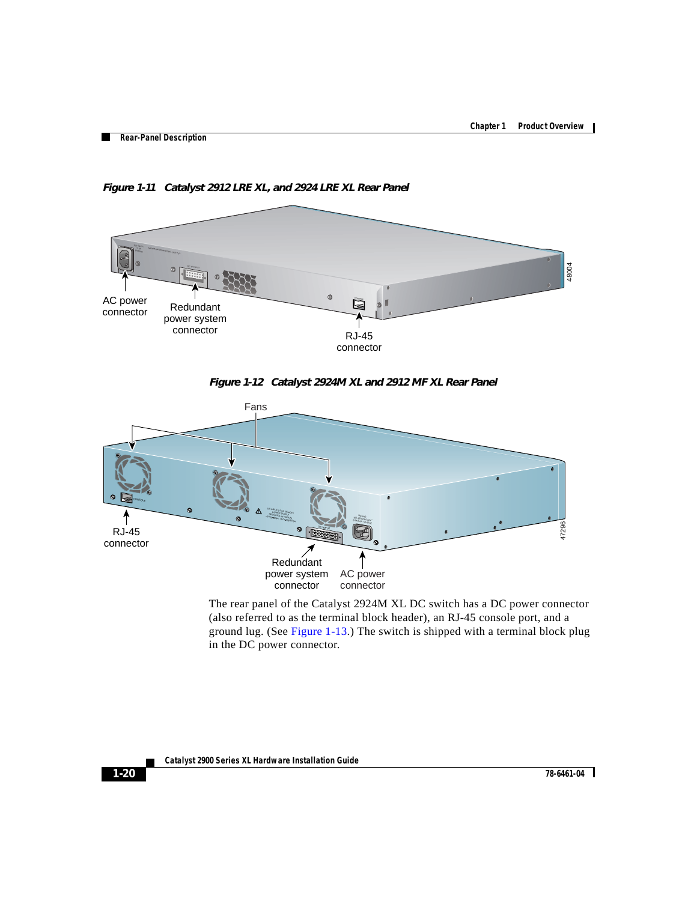

*Figure 1-11 Catalyst 2912 LRE XL, and 2924 LRE XL Rear Panel*

<span id="page-19-0"></span>



The rear panel of the Catalyst 2924M XL DC switch has a DC power connector (also referred to as the terminal block header), an RJ-45 console port, and a ground lug. (See [Figure 1-13](#page-20-0).) The switch is shipped with a terminal block plug in the DC power connector.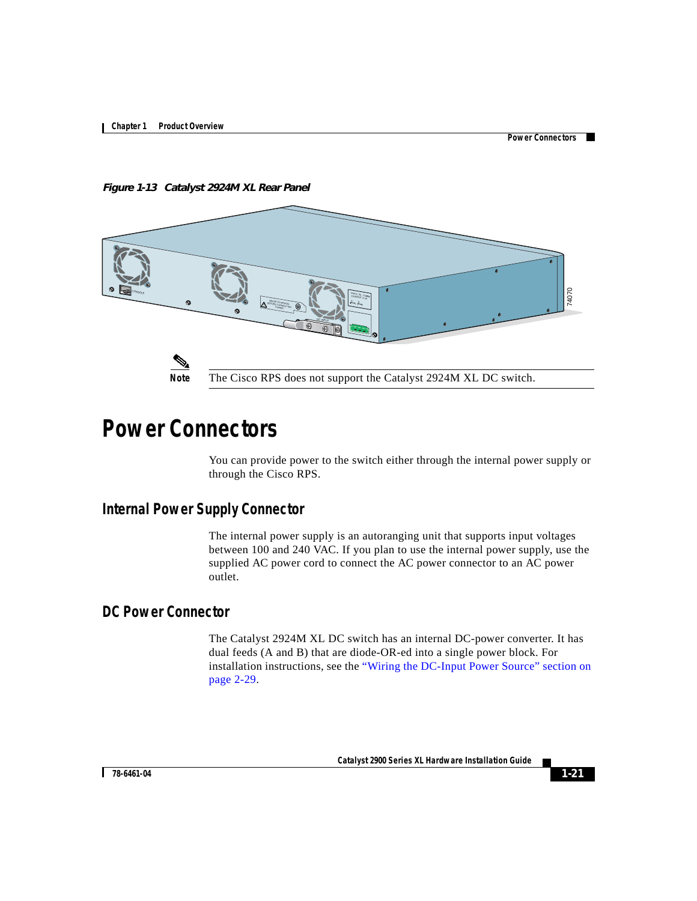<span id="page-20-0"></span>*Figure 1-13 Catalyst 2924M XL Rear Panel*



# **Power Connectors**

You can provide power to the switch either through the internal power supply or through the Cisco RPS.

### **Internal Power Supply Connector**

The internal power supply is an autoranging unit that supports input voltages between 100 and 240 VAC. If you plan to use the internal power supply, use the supplied AC power cord to connect the AC power connector to an AC power outlet.

### **DC Power Connector**

The Catalyst 2924M XL DC switch has an internal DC-power converter. It has dual feeds (A and B) that are diode-OR-ed into a single power block. For installation instructions, see the "Wiring the DC-Input Power Source" section on page 2-29.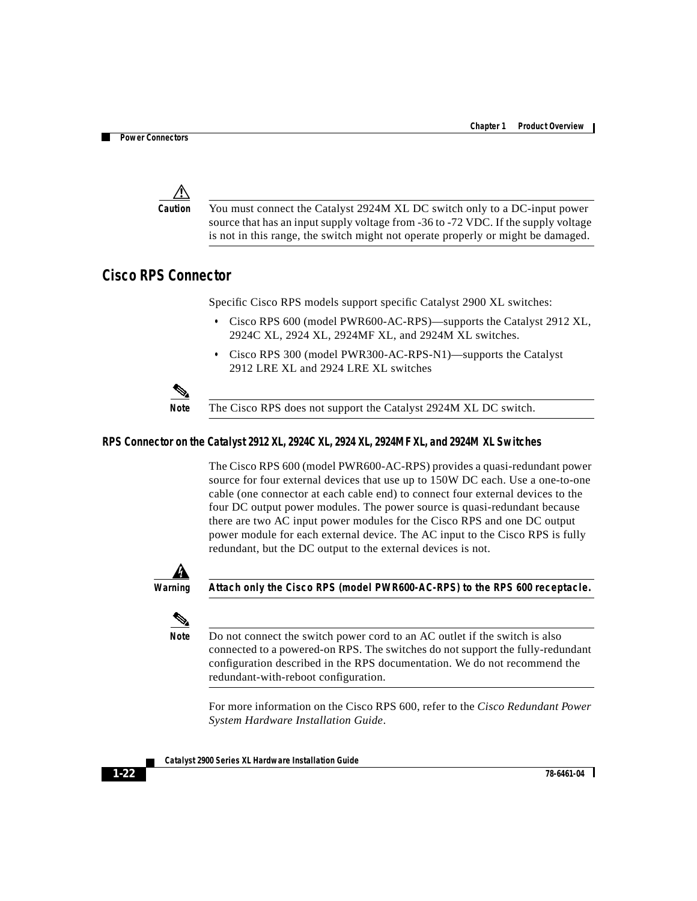

**Caution** You must connect the Catalyst 2924M XL DC switch only to a DC-input power source that has an input supply voltage from -36 to -72 VDC. If the supply voltage is not in this range, the switch might not operate properly or might be damaged.

### <span id="page-21-0"></span>**Cisco RPS Connector**

Specific Cisco RPS models support specific Catalyst 2900 XL switches:

- **•** Cisco RPS 600 (model PWR600-AC-RPS)—supports the Catalyst 2912 XL, 2924C XL, 2924 XL, 2924MF XL, and 2924M XL switches.
- **•** Cisco RPS 300 (model PWR300-AC-RPS-N1)—supports the Catalyst 2912 LRE XL and 2924 LRE XL switches



**Note** The Cisco RPS does not support the Catalyst 2924M XL DC switch.

#### **RPS Connector on the Catalyst 2912 XL, 2924C XL, 2924 XL, 2924MF XL, and 2924M XL Switches**

The Cisco RPS 600 (model PWR600-AC-RPS) provides a quasi-redundant power source for four external devices that use up to 150W DC each. Use a one-to-one cable (one connector at each cable end) to connect four external devices to the four DC output power modules. The power source is quasi-redundant because there are two AC input power modules for the Cisco RPS and one DC output power module for each external device. The AC input to the Cisco RPS is fully redundant, but the DC output to the external devices is not.



**Warning Attach only the Cisco RPS (model PWR600-AC-RPS) to the RPS 600 receptacle.**



**Note** Do not connect the switch power cord to an AC outlet if the switch is also connected to a powered-on RPS. The switches do not support the fully-redundant configuration described in the RPS documentation. We do not recommend the redundant-with-reboot configuration.

For more information on the Cisco RPS 600, refer to the *Cisco Redundant Power System Hardware Installation Guide*.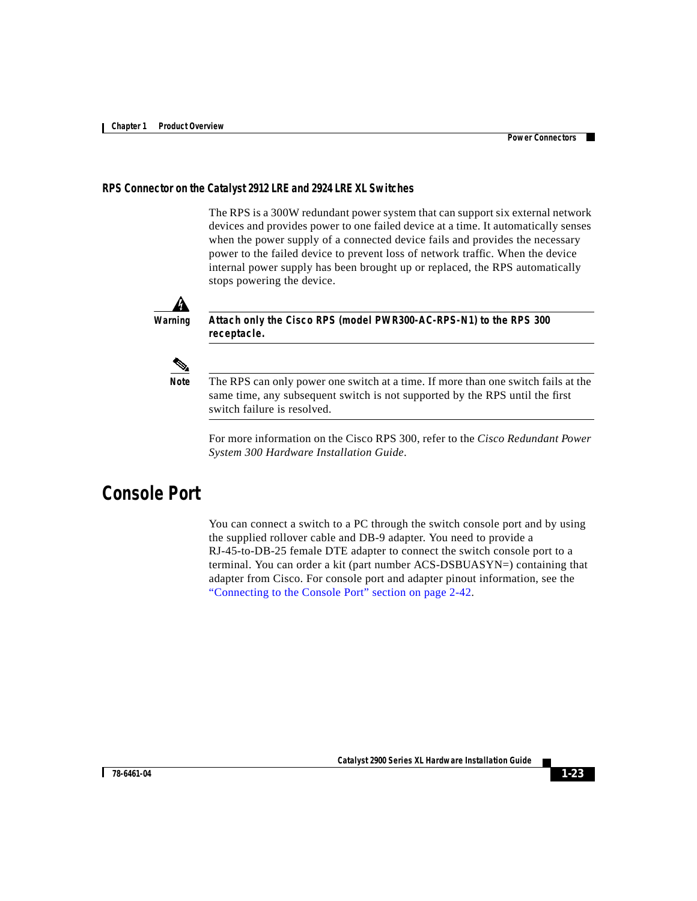#### **RPS Connector on the Catalyst 2912 LRE and 2924 LRE XL Switches**

The RPS is a 300W redundant power system that can support six external network devices and provides power to one failed device at a time. It automatically senses when the power supply of a connected device fails and provides the necessary power to the failed device to prevent loss of network traffic. When the device internal power supply has been brought up or replaced, the RPS automatically stops powering the device.



**Warning Attach only the Cisco RPS (model PWR300-AC-RPS-N1) to the RPS 300 receptacle.**



**Note** The RPS can only power one switch at a time. If more than one switch fails at the same time, any subsequent switch is not supported by the RPS until the first switch failure is resolved.

For more information on the Cisco RPS 300, refer to the *Cisco Redundant Power System 300 Hardware Installation Guide*.

## **Console Port**

You can connect a switch to a PC through the switch console port and by using the supplied rollover cable and DB-9 adapter. You need to provide a RJ-45-to-DB-25 female DTE adapter to connect the switch console port to a terminal. You can order a kit (part number ACS-DSBUASYN=) containing that adapter from Cisco. For console port and adapter pinout information, see the "Connecting to the Console Port" section on page 2-42.